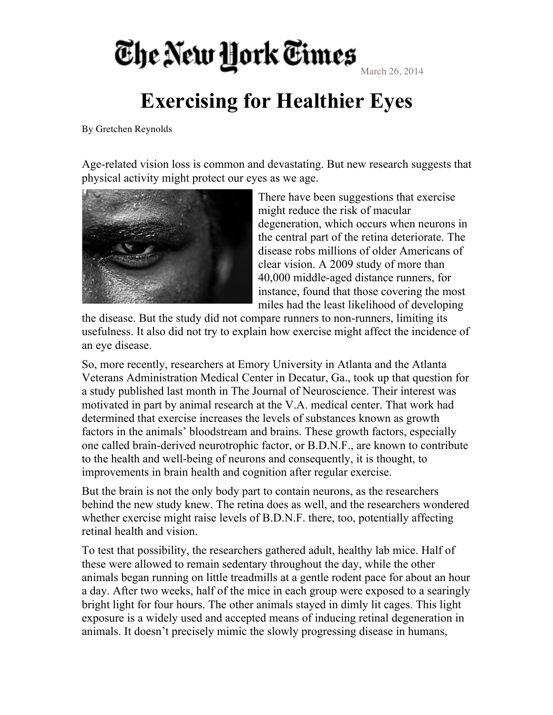## The New York Times

March 26, 2014

## **Exercising for Healthier Eyes**

By Gretchen Reynolds

Age-related vision loss is common and devastating. But new research suggests that physical activity might protect our eyes as we age.



There have been suggestions that exercise might reduce the risk of macular degeneration, which occurs when neurons in the central part of the retina deteriorate. The disease robs millions of older Americans of clear vision. A 2009 study of more than 40,000 middle-aged distance runners, for instance, found that those covering the most miles had the least likelihood of developing

the disease. But the study did not compare runners to non-runners, limiting its usefulness. It also did not try to explain how exercise might affect the incidence of an eye disease.

So, more recently, researchers at Emory University in Atlanta and the Atlanta Veterans Administration Medical Center in Decatur, Ga., took up that question for a study published last month in The Journal of Neuroscience. Their interest was motivated in part by animal research at the V.A. medical center. That work had determined that exercise increases the levels of substances known as growth factors in the animals' bloodstream and brains. These growth factors, especially one called brain-derived neurotrophic factor, or B.D.N.F., are known to contribute to the health and well-being of neurons and consequently, it is thought, to improvements in brain health and cognition after regular exercise.

But the brain is not the only body part to contain neurons, as the researchers behind the new study knew. The retina does as well, and the researchers wondered whether exercise might raise levels of B.D.N.F. there, too, potentially affecting retinal health and vision.

To test that possibility, the researchers gathered adult, healthy lab mice. Half of these were allowed to remain sedentary throughout the day, while the other animals began running on little treadmills at a gentle rodent pace for about an hour a day. After two weeks, half of the mice in each group were exposed to a searingly bright light for four hours. The other animals stayed in dimly lit cages. This light exposure is a widely used and accepted means of inducing retinal degeneration in animals. It doesn't precisely mimic the slowly progressing disease in humans,